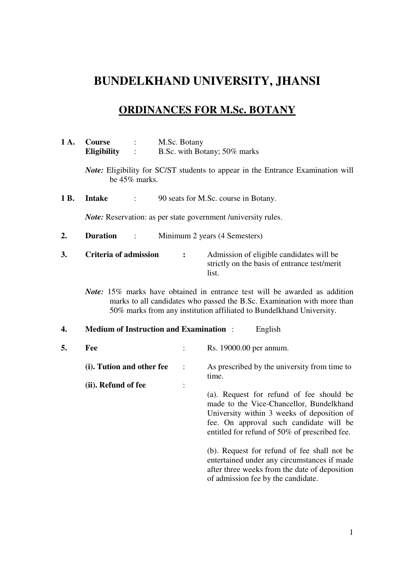# **BUNDELKHAND UNIVERSITY, JHANSI**

# **ORDINANCES FOR M.Sc. BOTANY**

| 1A.  | Course                                        |               | M.Sc. Botany   |                                                                                                                                                                                                                                                                                                                              |
|------|-----------------------------------------------|---------------|----------------|------------------------------------------------------------------------------------------------------------------------------------------------------------------------------------------------------------------------------------------------------------------------------------------------------------------------------|
|      | Eligibility                                   |               |                | B.Sc. with Botany; 50% marks                                                                                                                                                                                                                                                                                                 |
|      |                                               | be 45% marks. |                | <i>Note:</i> Eligibility for SC/ST students to appear in the Entrance Examination will                                                                                                                                                                                                                                       |
| 1 B. | <b>Intake</b>                                 |               |                | 90 seats for M.Sc. course in Botany.                                                                                                                                                                                                                                                                                         |
|      |                                               |               |                | <i>Note:</i> Reservation: as per state government /university rules.                                                                                                                                                                                                                                                         |
| 2.   | <b>Duration</b>                               |               |                | Minimum 2 years (4 Semesters)                                                                                                                                                                                                                                                                                                |
| 3.   | <b>Criteria of admission</b>                  |               | $\ddot{\cdot}$ | Admission of eligible candidates will be<br>strictly on the basis of entrance test/merit<br>list.                                                                                                                                                                                                                            |
|      |                                               |               |                | <i>Note:</i> 15% marks have obtained in entrance test will be awarded as addition<br>marks to all candidates who passed the B.Sc. Examination with more than<br>50% marks from any institution affiliated to Bundelkhand University.                                                                                         |
| 4.   | <b>Medium of Instruction and Examination:</b> |               |                | English                                                                                                                                                                                                                                                                                                                      |
| 5.   | Fee                                           |               | $\ddot{\cdot}$ | Rs. 19000.00 per annum.                                                                                                                                                                                                                                                                                                      |
|      | (i). Tution and other fee                     |               | $\ddot{\cdot}$ | As prescribed by the university from time to<br>time.                                                                                                                                                                                                                                                                        |
|      | (ii). Refund of fee                           |               |                | (a). Request for refund of fee should be<br>made to the Vice-Chancellor, Bundelkhand<br>University within 3 weeks of deposition of<br>fee. On approval such candidate will be<br>entitled for refund of 50% of prescribed fee.<br>(b). Request for refund of fee shall not be<br>entertained under any circumstances if made |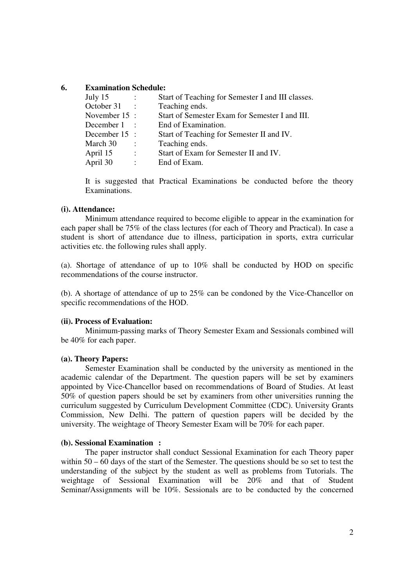#### **6. Examination Schedule:**

| July 15         | $\sim 100$           | Start of Teaching for Semester I and III classes. |
|-----------------|----------------------|---------------------------------------------------|
| October 31 :    |                      | Teaching ends.                                    |
| November $15$ : |                      | Start of Semester Exam for Semester I and III.    |
| December 1 :    |                      | End of Examination.                               |
| December 15 :   |                      | Start of Teaching for Semester II and IV.         |
| March 30        | $\ddot{\phantom{0}}$ | Teaching ends.                                    |
| April 15        | $\ddot{\cdot}$       | Start of Exam for Semester II and IV.             |
| April 30        | $\ddot{\cdot}$       | End of Exam.                                      |

It is suggested that Practical Examinations be conducted before the theory Examinations.

#### **(i). Attendance:**

Minimum attendance required to become eligible to appear in the examination for each paper shall be 75% of the class lectures (for each of Theory and Practical). In case a student is short of attendance due to illness, participation in sports, extra curricular activities etc. the following rules shall apply.

(a). Shortage of attendance of up to  $10\%$  shall be conducted by HOD on specific recommendations of the course instructor.

(b). A shortage of attendance of up to 25% can be condoned by the Vice-Chancellor on specific recommendations of the HOD.

#### **(ii). Process of Evaluation:**

Minimum-passing marks of Theory Semester Exam and Sessionals combined will be 40% for each paper.

#### **(a). Theory Papers:**

Semester Examination shall be conducted by the university as mentioned in the academic calendar of the Department. The question papers will be set by examiners appointed by Vice-Chancellor based on recommendations of Board of Studies. At least 50% of question papers should be set by examiners from other universities running the curriculum suggested by Curriculum Development Committee (CDC). University Grants Commission, New Delhi. The pattern of question papers will be decided by the university. The weightage of Theory Semester Exam will be 70% for each paper.

#### **(b). Sessional Examination :**

 The paper instructor shall conduct Sessional Examination for each Theory paper within 50 – 60 days of the start of the Semester. The questions should be so set to test the understanding of the subject by the student as well as problems from Tutorials. The weightage of Sessional Examination will be 20% and that of Student Seminar/Assignments will be 10%. Sessionals are to be conducted by the concerned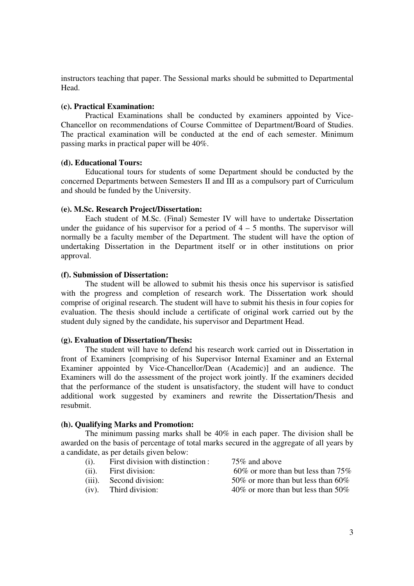instructors teaching that paper. The Sessional marks should be submitted to Departmental Head.

#### **(c). Practical Examination:**

Practical Examinations shall be conducted by examiners appointed by Vice-Chancellor on recommendations of Course Committee of Department/Board of Studies. The practical examination will be conducted at the end of each semester. Minimum passing marks in practical paper will be 40%.

#### **(d). Educational Tours:**

Educational tours for students of some Department should be conducted by the concerned Departments between Semesters II and III as a compulsory part of Curriculum and should be funded by the University.

#### **(e). M.Sc. Research Project/Dissertation:**

Each student of M.Sc. (Final) Semester IV will have to undertake Dissertation under the guidance of his supervisor for a period of  $4 - 5$  months. The supervisor will normally be a faculty member of the Department. The student will have the option of undertaking Dissertation in the Department itself or in other institutions on prior approval.

#### **(f). Submission of Dissertation:**

The student will be allowed to submit his thesis once his supervisor is satisfied with the progress and completion of research work. The Dissertation work should comprise of original research. The student will have to submit his thesis in four copies for evaluation. The thesis should include a certificate of original work carried out by the student duly signed by the candidate, his supervisor and Department Head.

#### **(g). Evaluation of Dissertation/Thesis:**

The student will have to defend his research work carried out in Dissertation in front of Examiners [comprising of his Supervisor Internal Examiner and an External Examiner appointed by Vice-Chancellor/Dean (Academic)] and an audience. The Examiners will do the assessment of the project work jointly. If the examiners decided that the performance of the student is unsatisfactory, the student will have to conduct additional work suggested by examiners and rewrite the Dissertation/Thesis and resubmit.

#### **(h). Qualifying Marks and Promotion:**

The minimum passing marks shall be 40% in each paper. The division shall be awarded on the basis of percentage of total marks secured in the aggregate of all years by a candidate, as per details given below:

- (i). First division with distinction : 75% and above
- 
- 
- 

(ii). First division:  $60\%$  or more than but less than 75% (iii). Second division:  $50\%$  or more than but less than  $60\%$ (iv). Third division:  $40\%$  or more than but less than  $50\%$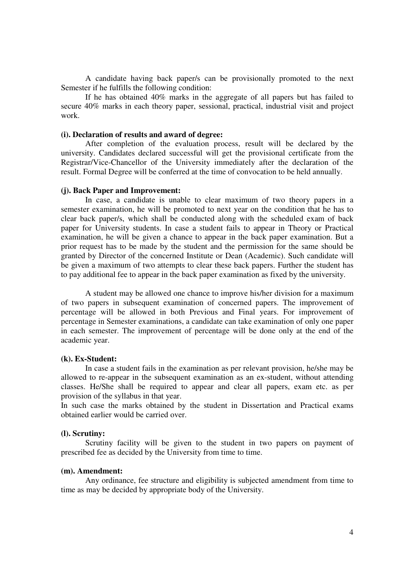A candidate having back paper/s can be provisionally promoted to the next Semester if he fulfills the following condition:

If he has obtained 40% marks in the aggregate of all papers but has failed to secure 40% marks in each theory paper, sessional, practical, industrial visit and project work.

#### **(i). Declaration of results and award of degree:**

After completion of the evaluation process, result will be declared by the university. Candidates declared successful will get the provisional certificate from the Registrar/Vice-Chancellor of the University immediately after the declaration of the result. Formal Degree will be conferred at the time of convocation to be held annually.

#### **(j). Back Paper and Improvement:**

In case, a candidate is unable to clear maximum of two theory papers in a semester examination, he will be promoted to next year on the condition that he has to clear back paper/s, which shall be conducted along with the scheduled exam of back paper for University students. In case a student fails to appear in Theory or Practical examination, he will be given a chance to appear in the back paper examination. But a prior request has to be made by the student and the permission for the same should be granted by Director of the concerned Institute or Dean (Academic). Such candidate will be given a maximum of two attempts to clear these back papers. Further the student has to pay additional fee to appear in the back paper examination as fixed by the university.

A student may be allowed one chance to improve his/her division for a maximum of two papers in subsequent examination of concerned papers. The improvement of percentage will be allowed in both Previous and Final years. For improvement of percentage in Semester examinations, a candidate can take examination of only one paper in each semester. The improvement of percentage will be done only at the end of the academic year.

#### **(k). Ex-Student:**

In case a student fails in the examination as per relevant provision, he/she may be allowed to re-appear in the subsequent examination as an ex-student, without attending classes. He/She shall be required to appear and clear all papers, exam etc. as per provision of the syllabus in that year.

In such case the marks obtained by the student in Dissertation and Practical exams obtained earlier would be carried over.

#### **(l). Scrutiny:**

Scrutiny facility will be given to the student in two papers on payment of prescribed fee as decided by the University from time to time.

#### **(m). Amendment:**

Any ordinance, fee structure and eligibility is subjected amendment from time to time as may be decided by appropriate body of the University.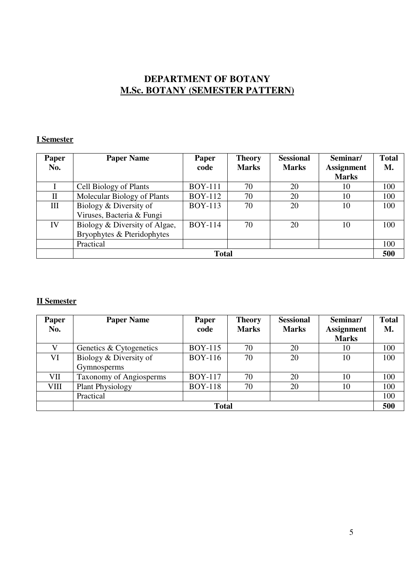# **DEPARTMENT OF BOTANY M.Sc. BOTANY (SEMESTER PATTERN)**

### **I Semester**

| Paper<br>No. | <b>Paper Name</b>             | Paper<br>code  | <b>Theory</b><br><b>Marks</b> | <b>Sessional</b><br><b>Marks</b> | Seminar/<br><b>Assignment</b> | <b>Total</b><br><b>M.</b> |
|--------------|-------------------------------|----------------|-------------------------------|----------------------------------|-------------------------------|---------------------------|
|              |                               |                |                               |                                  | <b>Marks</b>                  |                           |
|              | Cell Biology of Plants        | <b>BOY-111</b> | 70                            | 20                               | 10                            | 100                       |
| П            | Molecular Biology of Plants   | <b>BOY-112</b> | 70                            | 20                               | 10                            | 100                       |
| III          | Biology & Diversity of        | <b>BOY-113</b> | 70                            | 20                               | 10                            | 100                       |
|              | Viruses, Bacteria & Fungi     |                |                               |                                  |                               |                           |
| IV           | Biology & Diversity of Algae, | <b>BOY-114</b> | 70                            | 20                               | 10                            | 100                       |
|              | Bryophytes & Pteridophytes    |                |                               |                                  |                               |                           |
|              | Practical                     |                |                               |                                  |                               | 100                       |
|              | <b>Total</b>                  |                |                               |                                  |                               |                           |

### **II Semester**

| Paper<br>No. | <b>Paper Name</b>       | Paper<br>code  | <b>Theory</b><br><b>Marks</b> | <b>Sessional</b><br><b>Marks</b> | Seminar/<br><b>Assignment</b> | <b>Total</b><br>М. |
|--------------|-------------------------|----------------|-------------------------------|----------------------------------|-------------------------------|--------------------|
|              |                         |                |                               |                                  | <b>Marks</b>                  |                    |
| V            | Genetics & Cytogenetics | <b>BOY-115</b> | 70                            | 20                               | 10                            | 100                |
| VI           | Biology & Diversity of  | <b>BOY-116</b> | 70                            | 20                               | 10                            | 100                |
|              | Gymnosperms             |                |                               |                                  |                               |                    |
| VII          | Taxonomy of Angiosperms | <b>BOY-117</b> | 70                            | 20                               | 10                            | 100                |
| <b>VIII</b>  | <b>Plant Physiology</b> | <b>BOY-118</b> | 70                            | 20                               | 10                            | 100                |
|              | Practical               |                |                               |                                  |                               | 100                |
|              | <b>Total</b>            |                |                               |                                  |                               | 500                |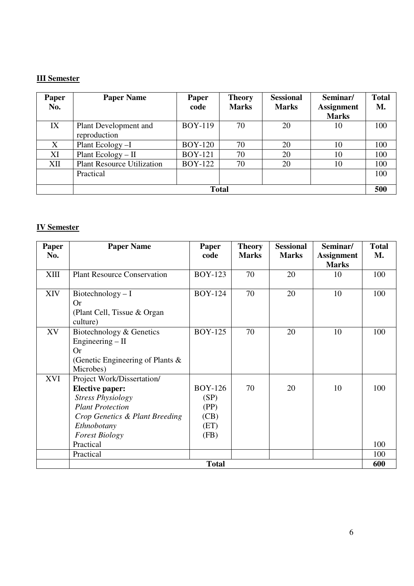### **III Semester**

| Paper<br>No. | <b>Paper Name</b>                     | Paper<br>code  | <b>Theory</b><br><b>Marks</b> | <b>Sessional</b><br><b>Marks</b> | Seminar/<br><b>Assignment</b><br><b>Marks</b> | <b>Total</b><br>М. |
|--------------|---------------------------------------|----------------|-------------------------------|----------------------------------|-----------------------------------------------|--------------------|
| IX           | Plant Development and<br>reproduction | <b>BOY-119</b> | 70                            | 20                               | 10                                            | 100                |
| X            | Plant Ecology -I                      | <b>BOY-120</b> | 70                            | 20                               | 10                                            | 100                |
| XI           | Plant Ecology $-$ II                  | <b>BOY-121</b> | 70                            | 20                               | 10                                            | 100                |
| XII          | <b>Plant Resource Utilization</b>     | <b>BOY-122</b> | 70                            | 20                               | 10                                            | 100                |
|              | Practical                             |                |                               |                                  |                                               | 100                |
|              | <b>Total</b>                          |                |                               |                                  |                                               |                    |

# **IV Semester**

| Paper | <b>Paper Name</b>                                                                                                                                                                                  | Paper                                                  | <b>Theory</b> | <b>Sessional</b> | Seminar/          | <b>Total</b> |
|-------|----------------------------------------------------------------------------------------------------------------------------------------------------------------------------------------------------|--------------------------------------------------------|---------------|------------------|-------------------|--------------|
| No.   |                                                                                                                                                                                                    | code                                                   | <b>Marks</b>  | <b>Marks</b>     | <b>Assignment</b> | М.           |
|       |                                                                                                                                                                                                    |                                                        |               |                  | <b>Marks</b>      |              |
| XIII  | <b>Plant Resource Conservation</b>                                                                                                                                                                 | <b>BOY-123</b>                                         | 70            | 20               | 10                | 100          |
| XIV   | $Biotechnology-I$<br><b>Or</b><br>(Plant Cell, Tissue & Organ)<br>culture)                                                                                                                         | <b>BOY-124</b>                                         | 70            | 20               | 10                | 100          |
| XV    | Biotechnology & Genetics<br>Engineering $-$ II<br><b>Or</b><br>(Genetic Engineering of Plants $\&$<br>Microbes)                                                                                    | <b>BOY-125</b>                                         | 70            | 20               | 10                | 100          |
| XVI   | Project Work/Dissertation/<br><b>Elective paper:</b><br><b>Stress Physiology</b><br><b>Plant Protection</b><br>Crop Genetics & Plant Breeding<br>Ethnobotany<br><b>Forest Biology</b><br>Practical | <b>BOY-126</b><br>(SP)<br>(PP)<br>(CB)<br>(ET)<br>(FB) | 70            | 20               | 10                | 100<br>100   |
|       | Practical                                                                                                                                                                                          | <b>Total</b>                                           |               |                  |                   | 100<br>600   |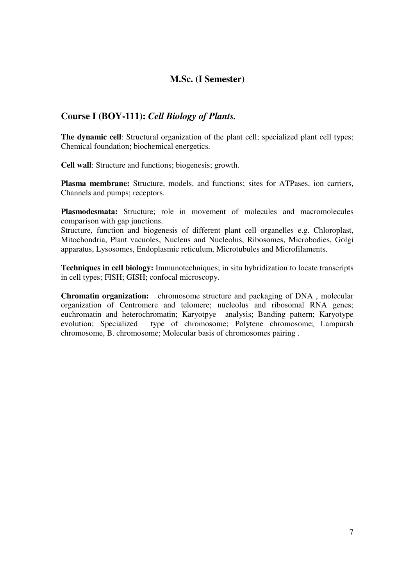### **Course I (BOY-111):** *Cell Biology of Plants.*

**The dynamic cell:** Structural organization of the plant cell: specialized plant cell types; Chemical foundation; biochemical energetics.

**Cell wall**: Structure and functions; biogenesis; growth.

**Plasma membrane:** Structure, models, and functions; sites for ATPases, ion carriers, Channels and pumps; receptors.

**Plasmodesmata:** Structure; role in movement of molecules and macromolecules comparison with gap junctions.

Structure, function and biogenesis of different plant cell organelles e.g. Chloroplast, Mitochondria, Plant vacuoles, Nucleus and Nucleolus, Ribosomes, Microbodies, Golgi apparatus, Lysosomes, Endoplasmic reticulum, Microtubules and Microfilaments.

**Techniques in cell biology:** Immunotechniques; in situ hybridization to locate transcripts in cell types; FISH; GISH; confocal microscopy.

**Chromatin organization:** chromosome structure and packaging of DNA , molecular organization of Centromere and telomere; nucleolus and ribosomal RNA genes; euchromatin and heterochromatin; Karyotpye analysis; Banding pattern; Karyotype evolution; Specialized type of chromosome; Polytene chromosome; Lampursh chromosome, B. chromosome; Molecular basis of chromosomes pairing .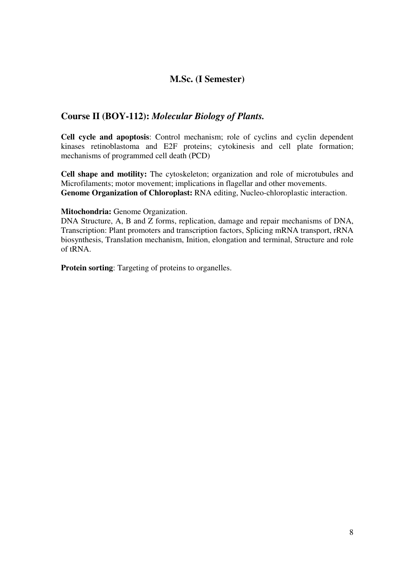#### **Course II (BOY-112):** *Molecular Biology of Plants.*

**Cell cycle and apoptosis**: Control mechanism; role of cyclins and cyclin dependent kinases retinoblastoma and E2F proteins; cytokinesis and cell plate formation; mechanisms of programmed cell death (PCD)

**Cell shape and motility:** The cytoskeleton; organization and role of microtubules and Microfilaments; motor movement; implications in flagellar and other movements. **Genome Organization of Chloroplast:** RNA editing, Nucleo-chloroplastic interaction.

#### **Mitochondria:** Genome Organization.

DNA Structure, A, B and Z forms, replication, damage and repair mechanisms of DNA, Transcription: Plant promoters and transcription factors, Splicing mRNA transport, rRNA biosynthesis, Translation mechanism, Inition, elongation and terminal, Structure and role of tRNA.

**Protein sorting**: Targeting of proteins to organelles.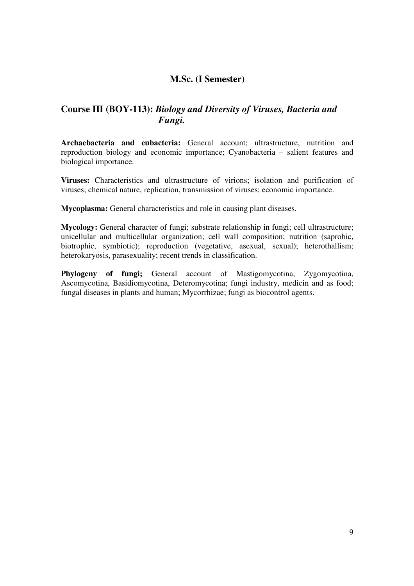### **Course III (BOY-113):** *Biology and Diversity of Viruses, Bacteria and Fungi.*

**Archaebacteria and eubacteria:** General account; ultrastructure, nutrition and reproduction biology and economic importance; Cyanobacteria – salient features and biological importance.

**Viruses:** Characteristics and ultrastructure of virions; isolation and purification of viruses; chemical nature, replication, transmission of viruses; economic importance.

**Mycoplasma:** General characteristics and role in causing plant diseases.

**Mycology:** General character of fungi; substrate relationship in fungi; cell ultrastructure; unicellular and multicellular organization; cell wall composition; nutrition (saprobic, biotrophic, symbiotic); reproduction (vegetative, asexual, sexual); heterothallism; heterokaryosis, parasexuality; recent trends in classification.

**Phylogeny of fungi;** General account of Mastigomycotina, Zygomycotina, Ascomycotina, Basidiomycotina, Deteromycotina; fungi industry, medicin and as food; fungal diseases in plants and human; Mycorrhizae; fungi as biocontrol agents.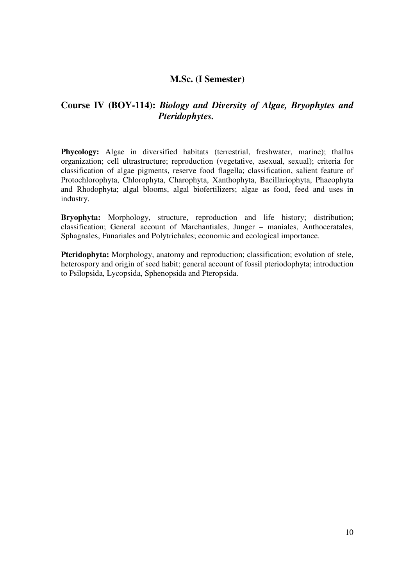#### **Course IV (BOY-114):** *Biology and Diversity of Algae, Bryophytes and Pteridophytes.*

**Phycology:** Algae in diversified habitats (terrestrial, freshwater, marine); thallus organization; cell ultrastructure; reproduction (vegetative, asexual, sexual); criteria for classification of algae pigments, reserve food flagella; classification, salient feature of Protochlorophyta, Chlorophyta, Charophyta, Xanthophyta, Bacillariophyta, Phaeophyta and Rhodophyta; algal blooms, algal biofertilizers; algae as food, feed and uses in industry.

**Bryophyta:** Morphology, structure, reproduction and life history; distribution; classification; General account of Marchantiales, Junger – maniales, Anthoceratales, Sphagnales, Funariales and Polytrichales; economic and ecological importance.

**Pteridophyta:** Morphology, anatomy and reproduction; classification; evolution of stele, heterospory and origin of seed habit; general account of fossil pteriodophyta; introduction to Psilopsida, Lycopsida, Sphenopsida and Pteropsida.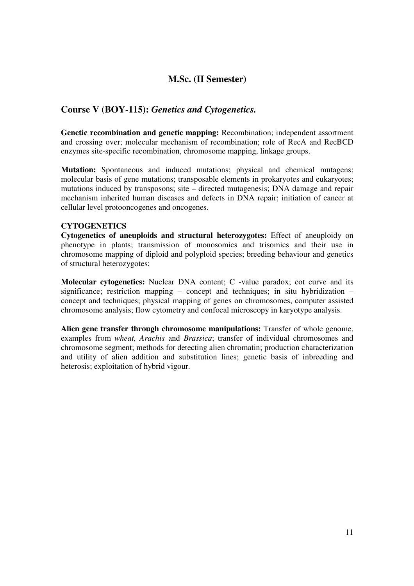### **Course V (BOY-115):** *Genetics and Cytogenetics.*

**Genetic recombination and genetic mapping:** Recombination; independent assortment and crossing over; molecular mechanism of recombination; role of RecA and RecBCD enzymes site-specific recombination, chromosome mapping, linkage groups.

**Mutation:** Spontaneous and induced mutations; physical and chemical mutagens; molecular basis of gene mutations; transposable elements in prokaryotes and eukaryotes; mutations induced by transposons; site – directed mutagenesis; DNA damage and repair mechanism inherited human diseases and defects in DNA repair; initiation of cancer at cellular level protooncogenes and oncogenes.

#### **CYTOGENETICS**

**Cytogenetics of aneuploids and structural heterozygotes:** Effect of aneuploidy on phenotype in plants; transmission of monosomics and trisomics and their use in chromosome mapping of diploid and polyploid species; breeding behaviour and genetics of structural heterozygotes;

**Molecular cytogenetics:** Nuclear DNA content; C -value paradox; cot curve and its significance; restriction mapping – concept and techniques; in situ hybridization – concept and techniques; physical mapping of genes on chromosomes, computer assisted chromosome analysis; flow cytometry and confocal microscopy in karyotype analysis.

**Alien gene transfer through chromosome manipulations:** Transfer of whole genome, examples from *wheat, Arachis* and *Brassica*; transfer of individual chromosomes and chromosome segment; methods for detecting alien chromatin; production characterization and utility of alien addition and substitution lines; genetic basis of inbreeding and heterosis; exploitation of hybrid vigour.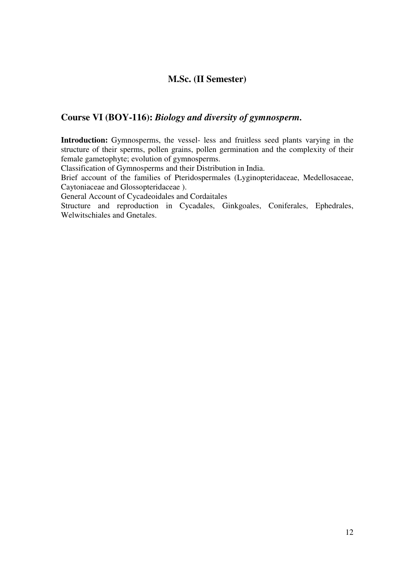### **Course VI (BOY-116):** *Biology and diversity of gymnosperm.*

Introduction: Gymnosperms, the vessel- less and fruitless seed plants varying in the structure of their sperms, pollen grains, pollen germination and the complexity of their female gametophyte; evolution of gymnosperms.

Classification of Gymnosperms and their Distribution in India.

Brief account of the families of Pteridospermales (Lyginopteridaceae, Medellosaceae, Caytoniaceae and Glossopteridaceae ).

General Account of Cycadeoidales and Cordaitales

Structure and reproduction in Cycadales, Ginkgoales, Coniferales, Ephedrales, Welwitschiales and Gnetales.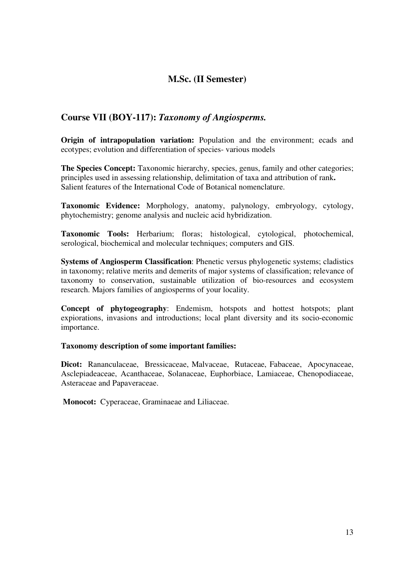### **Course VII (BOY-117):** *Taxonomy of Angiosperms.*

**Origin of intrapopulation variation:** Population and the environment; ecads and ecotypes; evolution and differentiation of species- various models

**The Species Concept:** Taxonomic hierarchy, species, genus, family and other categories; principles used in assessing relationship, delimitation of taxa and attribution of rank**.**  Salient features of the International Code of Botanical nomenclature.

**Taxonomic Evidence:** Morphology, anatomy, palynology, embryology, cytology, phytochemistry; genome analysis and nucleic acid hybridization.

**Taxonomic Tools:** Herbarium; floras; histological, cytological, photochemical, serological, biochemical and molecular techniques; computers and GIS.

**Systems of Angiosperm Classification**: Phenetic versus phylogenetic systems; cladistics in taxonomy; relative merits and demerits of major systems of classification; relevance of taxonomy to conservation, sustainable utilization of bio-resources and ecosystem research. Majors families of angiosperms of your locality.

**Concept of phytogeography**: Endemism, hotspots and hottest hotspots; plant expiorations, invasions and introductions; local plant diversity and its socio-economic importance.

#### **Taxonomy description of some important families:**

**Dicot:** Rananculaceae, Bressicaceae, Malvaceae, Rutaceae, Fabaceae, Apocynaceae, Asclepiadeaceae, Acanthaceae, Solanaceae, Euphorbiace, Lamiaceae, Chenopodiaceae, Asteraceae and Papaveraceae.

**Monocot:** Cyperaceae, Graminaeae and Liliaceae.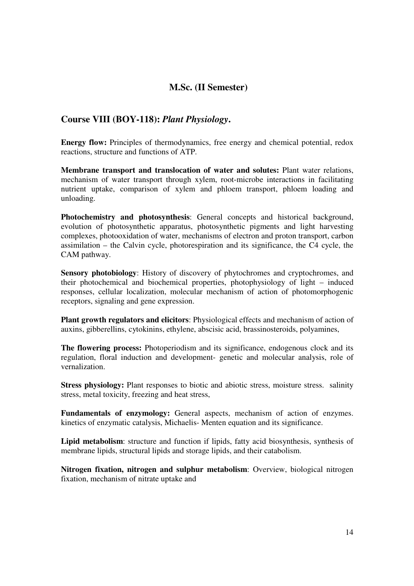### **Course VIII (BOY-118):** *Plant Physiology***.**

**Energy flow:** Principles of thermodynamics, free energy and chemical potential, redox reactions, structure and functions of ATP.

**Membrane transport and translocation of water and solutes:** Plant water relations, mechanism of water transport through xylem, root-microbe interactions in facilitating nutrient uptake, comparison of xylem and phloem transport, phloem loading and unloading.

**Photochemistry and photosynthesis**: General concepts and historical background, evolution of photosynthetic apparatus, photosynthetic pigments and light harvesting complexes, photooxidation of water, mechanisms of electron and proton transport, carbon assimilation – the Calvin cycle, photorespiration and its significance, the C4 cycle, the CAM pathway.

**Sensory photobiology**: History of discovery of phytochromes and cryptochromes, and their photochemical and biochemical properties, photophysiology of light – induced responses, cellular localization, molecular mechanism of action of photomorphogenic receptors, signaling and gene expression.

**Plant growth regulators and elicitors**: Physiological effects and mechanism of action of auxins, gibberellins, cytokinins, ethylene, abscisic acid, brassinosteroids, polyamines,

**The flowering process:** Photoperiodism and its significance, endogenous clock and its regulation, floral induction and development- genetic and molecular analysis, role of vernalization.

**Stress physiology:** Plant responses to biotic and abiotic stress, moisture stress. salinity stress, metal toxicity, freezing and heat stress,

Fundamentals of enzymology: General aspects, mechanism of action of enzymes. kinetics of enzymatic catalysis, Michaelis- Menten equation and its significance.

**Lipid metabolism**: structure and function if lipids, fatty acid biosynthesis, synthesis of membrane lipids, structural lipids and storage lipids, and their catabolism.

**Nitrogen fixation, nitrogen and sulphur metabolism**: Overview, biological nitrogen fixation, mechanism of nitrate uptake and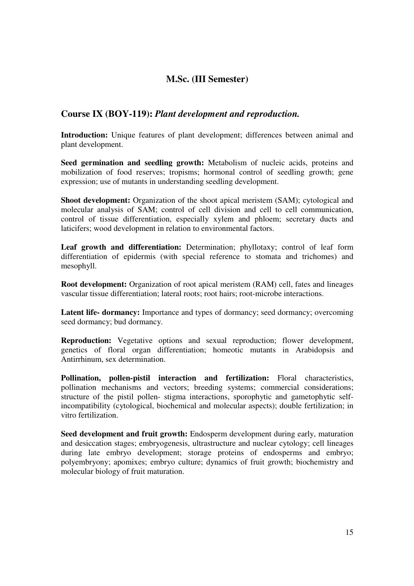#### **Course IX (BOY-119):** *Plant development and reproduction.*

**Introduction:** Unique features of plant development; differences between animal and plant development.

**Seed germination and seedling growth:** Metabolism of nucleic acids, proteins and mobilization of food reserves; tropisms; hormonal control of seedling growth; gene expression; use of mutants in understanding seedling development.

**Shoot development:** Organization of the shoot apical meristem (SAM); cytological and molecular analysis of SAM; control of cell division and cell to cell communication, control of tissue differentiation, especially xylem and phloem; secretary ducts and laticifers; wood development in relation to environmental factors.

**Leaf growth and differentiation:** Determination; phyllotaxy; control of leaf form differentiation of epidermis (with special reference to stomata and trichomes) and mesophyll.

**Root development:** Organization of root apical meristem (RAM) cell, fates and lineages vascular tissue differentiation; lateral roots; root hairs; root-microbe interactions.

Latent life- dormancy: Importance and types of dormancy; seed dormancy; overcoming seed dormancy; bud dormancy.

**Reproduction:** Vegetative options and sexual reproduction; flower development, genetics of floral organ differentiation; homeotic mutants in Arabidopsis and Antirrhinum, sex determination.

**Pollination, pollen-pistil interaction and fertilization:** Floral characteristics, pollination mechanisms and vectors; breeding systems; commercial considerations; structure of the pistil pollen- stigma interactions, sporophytic and gametophytic selfincompatibility (cytological, biochemical and molecular aspects); double fertilization; in vitro fertilization.

**Seed development and fruit growth:** Endosperm development during early, maturation and desiccation stages; embryogenesis, ultrastructure and nuclear cytology; cell lineages during late embryo development; storage proteins of endosperms and embryo; polyembryony; apomixes; embryo culture; dynamics of fruit growth; biochemistry and molecular biology of fruit maturation.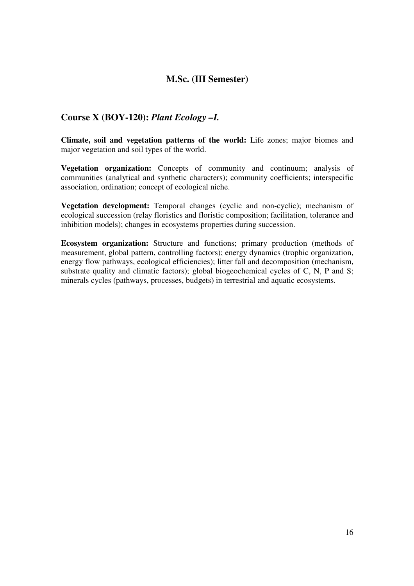#### **Course X (BOY-120):** *Plant Ecology –I.*

**Climate, soil and vegetation patterns of the world:** Life zones; major biomes and major vegetation and soil types of the world.

**Vegetation organization:** Concepts of community and continuum; analysis of communities (analytical and synthetic characters); community coefficients; interspecific association, ordination; concept of ecological niche.

**Vegetation development:** Temporal changes (cyclic and non-cyclic); mechanism of ecological succession (relay floristics and floristic composition; facilitation, tolerance and inhibition models); changes in ecosystems properties during succession.

**Ecosystem organization:** Structure and functions; primary production (methods of measurement, global pattern, controlling factors); energy dynamics (trophic organization, energy flow pathways, ecological efficiencies); litter fall and decomposition (mechanism, substrate quality and climatic factors); global biogeochemical cycles of C, N, P and S; minerals cycles (pathways, processes, budgets) in terrestrial and aquatic ecosystems.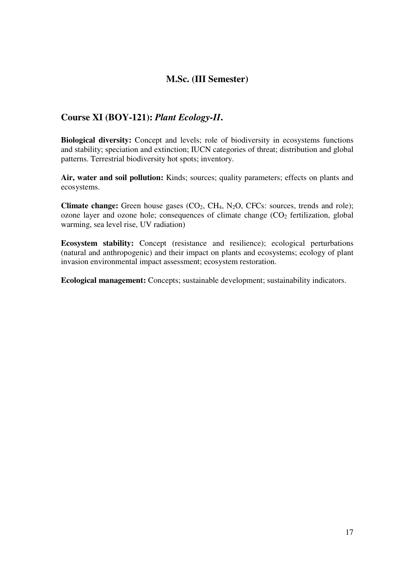### **Course XI (BOY-121):** *Plant Ecology-II***.**

**Biological diversity:** Concept and levels; role of biodiversity in ecosystems functions and stability; speciation and extinction; IUCN categories of threat; distribution and global patterns. Terrestrial biodiversity hot spots; inventory.

**Air, water and soil pollution:** Kinds; sources; quality parameters; effects on plants and ecosystems.

**Climate change:** Green house gases (CO<sub>2</sub>, CH<sub>4</sub>, N<sub>2</sub>O, CFCs: sources, trends and role); ozone layer and ozone hole; consequences of climate change  $(CO<sub>2</sub>$  fertilization, global warming, sea level rise, UV radiation)

**Ecosystem stability:** Concept (resistance and resilience); ecological perturbations (natural and anthropogenic) and their impact on plants and ecosystems; ecology of plant invasion environmental impact assessment; ecosystem restoration.

**Ecological management:** Concepts; sustainable development; sustainability indicators.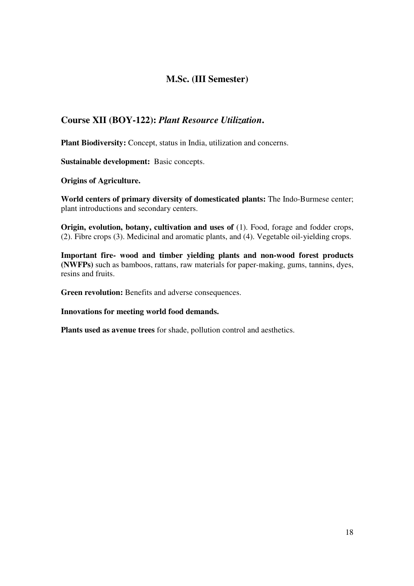### **Course XII (BOY-122):** *Plant Resource Utilization***.**

**Plant Biodiversity:** Concept, status in India, utilization and concerns.

**Sustainable development:** Basic concepts.

**Origins of Agriculture.** 

**World centers of primary diversity of domesticated plants:** The Indo-Burmese center; plant introductions and secondary centers.

**Origin, evolution, botany, cultivation and uses of** (1). Food, forage and fodder crops, (2). Fibre crops (3). Medicinal and aromatic plants, and (4). Vegetable oil-yielding crops.

**Important fire- wood and timber yielding plants and non-wood forest products (NWFPs)** such as bamboos, rattans, raw materials for paper-making, gums, tannins, dyes, resins and fruits.

**Green revolution:** Benefits and adverse consequences.

**Innovations for meeting world food demands.** 

**Plants used as avenue trees** for shade, pollution control and aesthetics.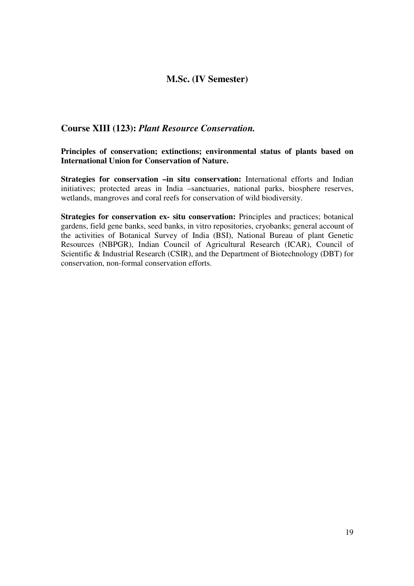#### **Course XIII (123):** *Plant Resource Conservation.*

#### **Principles of conservation; extinctions; environmental status of plants based on International Union for Conservation of Nature.**

**Strategies for conservation –in situ conservation:** International efforts and Indian initiatives; protected areas in India –sanctuaries, national parks, biosphere reserves, wetlands, mangroves and coral reefs for conservation of wild biodiversity.

**Strategies for conservation ex- situ conservation:** Principles and practices; botanical gardens, field gene banks, seed banks, in vitro repositories, cryobanks; general account of the activities of Botanical Survey of India (BSI), National Bureau of plant Genetic Resources (NBPGR), Indian Council of Agricultural Research (ICAR), Council of Scientific & Industrial Research (CSIR), and the Department of Biotechnology (DBT) for conservation, non-formal conservation efforts.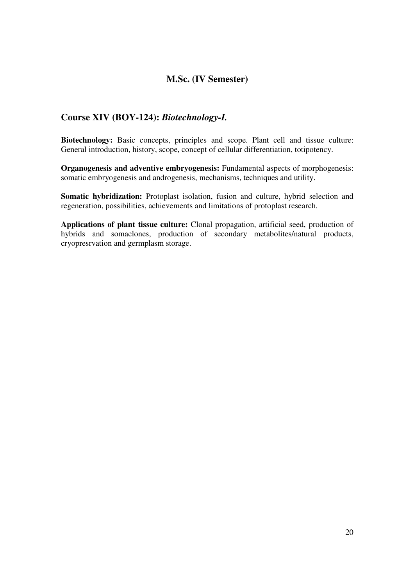#### **Course XIV (BOY-124):** *Biotechnology-I.*

**Biotechnology:** Basic concepts, principles and scope. Plant cell and tissue culture: General introduction, history, scope, concept of cellular differentiation, totipotency.

**Organogenesis and adventive embryogenesis:** Fundamental aspects of morphogenesis: somatic embryogenesis and androgenesis, mechanisms, techniques and utility.

**Somatic hybridization:** Protoplast isolation, fusion and culture, hybrid selection and regeneration, possibilities, achievements and limitations of protoplast research.

**Applications of plant tissue culture:** Clonal propagation, artificial seed, production of hybrids and somaclones, production of secondary metabolites/natural products, cryopresrvation and germplasm storage.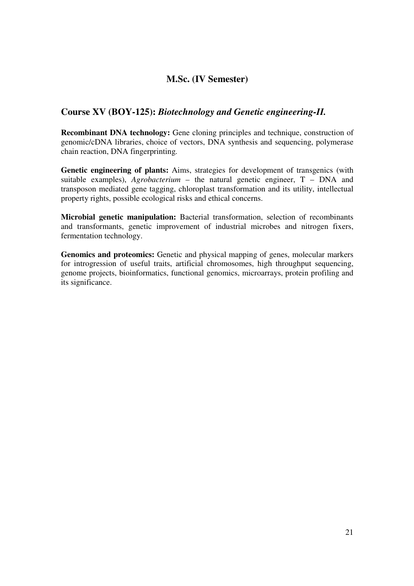#### **Course XV (BOY-125):** *Biotechnology and Genetic engineering-II.*

**Recombinant DNA technology:** Gene cloning principles and technique, construction of genomic/cDNA libraries, choice of vectors, DNA synthesis and sequencing, polymerase chain reaction, DNA fingerprinting.

**Genetic engineering of plants:** Aims, strategies for development of transgenics (with suitable examples), *Agrobacterium* – the natural genetic engineer, T – DNA and transposon mediated gene tagging, chloroplast transformation and its utility, intellectual property rights, possible ecological risks and ethical concerns.

**Microbial genetic manipulation:** Bacterial transformation, selection of recombinants and transformants, genetic improvement of industrial microbes and nitrogen fixers, fermentation technology.

**Genomics and proteomics:** Genetic and physical mapping of genes, molecular markers for introgression of useful traits, artificial chromosomes, high throughput sequencing, genome projects, bioinformatics, functional genomics, microarrays, protein profiling and its significance.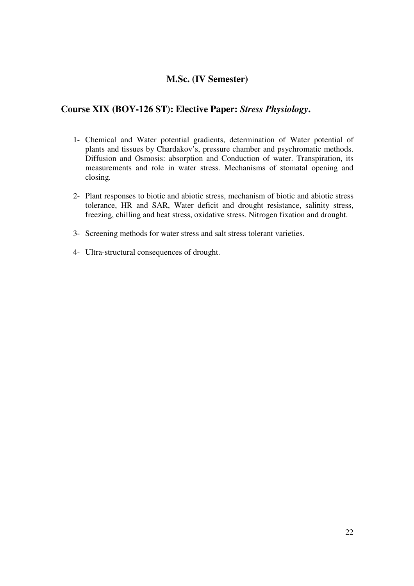### **Course XIX (BOY-126 ST): Elective Paper:** *Stress Physiology***.**

- 1- Chemical and Water potential gradients, determination of Water potential of plants and tissues by Chardakov's, pressure chamber and psychromatic methods. Diffusion and Osmosis: absorption and Conduction of water. Transpiration, its measurements and role in water stress. Mechanisms of stomatal opening and closing.
- 2- Plant responses to biotic and abiotic stress, mechanism of biotic and abiotic stress tolerance, HR and SAR, Water deficit and drought resistance, salinity stress, freezing, chilling and heat stress, oxidative stress. Nitrogen fixation and drought.
- 3- Screening methods for water stress and salt stress tolerant varieties.
- 4- Ultra-structural consequences of drought.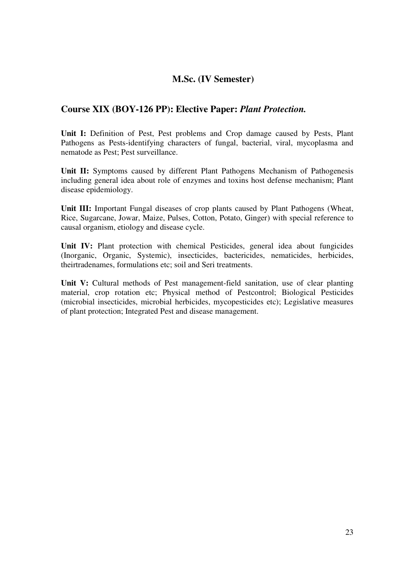### **Course XIX (BOY-126 PP): Elective Paper:** *Plant Protection.*

**Unit I:** Definition of Pest, Pest problems and Crop damage caused by Pests, Plant Pathogens as Pests-identifying characters of fungal, bacterial, viral, mycoplasma and nematode as Pest; Pest surveillance.

**Unit II:** Symptoms caused by different Plant Pathogens Mechanism of Pathogenesis including general idea about role of enzymes and toxins host defense mechanism; Plant disease epidemiology.

Unit III: Important Fungal diseases of crop plants caused by Plant Pathogens (Wheat, Rice, Sugarcane, Jowar, Maize, Pulses, Cotton, Potato, Ginger) with special reference to causal organism, etiology and disease cycle.

**Unit IV:** Plant protection with chemical Pesticides, general idea about fungicides (Inorganic, Organic, Systemic), insecticides, bactericides, nematicides, herbicides, theirtradenames, formulations etc; soil and Seri treatments.

**Unit V:** Cultural methods of Pest management-field sanitation, use of clear planting material, crop rotation etc; Physical method of Pestcontrol; Biological Pesticides (microbial insecticides, microbial herbicides, mycopesticides etc); Legislative measures of plant protection; Integrated Pest and disease management.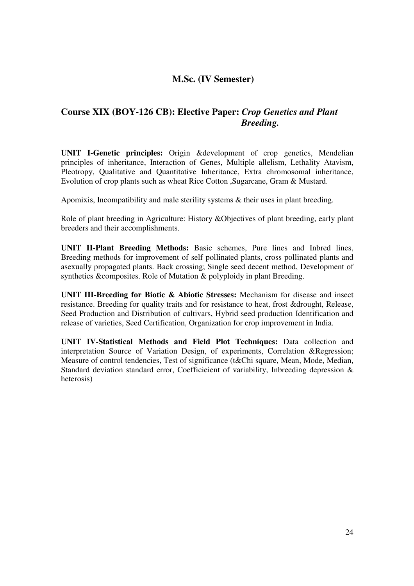# **Course XIX (BOY-126 CB): Elective Paper:** *Crop Genetics and Plant Breeding.*

**UNIT I-Genetic principles:** Origin &development of crop genetics, Mendelian principles of inheritance, Interaction of Genes, Multiple allelism, Lethality Atavism, Pleotropy, Qualitative and Quantitative Inheritance, Extra chromosomal inheritance, Evolution of crop plants such as wheat Rice Cotton ,Sugarcane, Gram & Mustard.

Apomixis, Incompatibility and male sterility systems & their uses in plant breeding.

Role of plant breeding in Agriculture: History &Objectives of plant breeding, early plant breeders and their accomplishments.

**UNIT II-Plant Breeding Methods:** Basic schemes, Pure lines and Inbred lines, Breeding methods for improvement of self pollinated plants, cross pollinated plants and asexually propagated plants. Back crossing; Single seed decent method, Development of synthetics &composites. Role of Mutation & polyploidy in plant Breeding.

**UNIT III-Breeding for Biotic & Abiotic Stresses:** Mechanism for disease and insect resistance. Breeding for quality traits and for resistance to heat, frost &drought, Release, Seed Production and Distribution of cultivars, Hybrid seed production Identification and release of varieties, Seed Certification, Organization for crop improvement in India.

**UNIT IV-Statistical Methods and Field Plot Techniques:** Data collection and interpretation Source of Variation Design, of experiments, Correlation &Regression; Measure of control tendencies, Test of significance (t&Chi square, Mean, Mode, Median, Standard deviation standard error, Coefficieient of variability, Inbreeding depression & heterosis)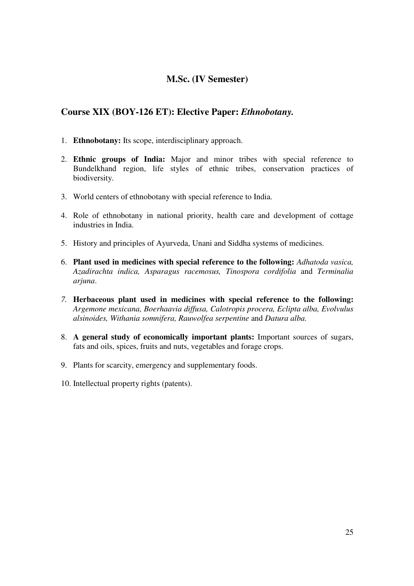#### **Course XIX (BOY-126 ET): Elective Paper:** *Ethnobotany.*

- 1. **Ethnobotany:** Its scope, interdisciplinary approach.
- 2. **Ethnic groups of India:** Major and minor tribes with special reference to Bundelkhand region, life styles of ethnic tribes, conservation practices of biodiversity.
- 3. World centers of ethnobotany with special reference to India.
- 4. Role of ethnobotany in national priority, health care and development of cottage industries in India.
- 5. History and principles of Ayurveda, Unani and Siddha systems of medicines.
- 6. **Plant used in medicines with special reference to the following:** *Adhatoda vasica, Azadirachta indica, Asparagus racemosus, Tinospora cordifolia* and *Terminalia arjuna*.
- *7.* **Herbaceous plant used in medicines with special reference to the following:** *Argemone mexicana, Boerhaavia diffusa, Calotropis procera, Eclipta alba, Evolvulus alsinoides, Withania somnifera, Rauwolfea serpentine* and *Datura alba.*
- 8. **A general study of economically important plants:** Important sources of sugars, fats and oils, spices, fruits and nuts, vegetables and forage crops.
- 9. Plants for scarcity, emergency and supplementary foods.
- 10. Intellectual property rights (patents).